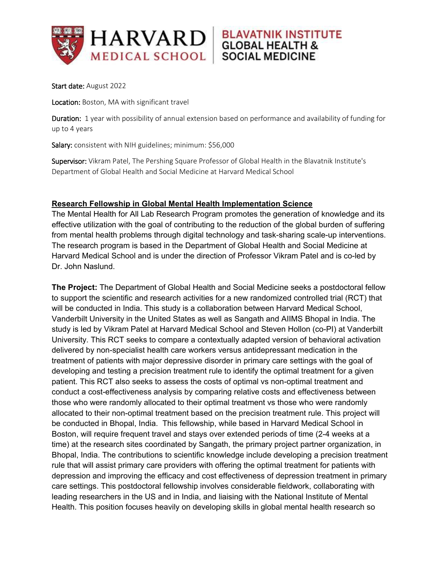

Start date: August 2022

Location: Boston, MA with significant travel

Duration: 1 year with possibility of annual extension based on performance and availability of funding for up to 4 years

**BLAVATNIK INSTITUTE** 

**GLOBAL HEALTH &** 

**SOCIAL MEDICINE** 

Salary: consistent with NIH guidelines; minimum: \$56,000

Supervisor: Vikram Patel, The Pershing Square Professor of Global Health in the Blavatnik Institute's Department of Global Health and Social Medicine at Harvard Medical School

## **Research Fellowship in Global Mental Health Implementation Science**

The Mental Health for All Lab Research Program promotes the generation of knowledge and its effective utilization with the goal of contributing to the reduction of the global burden of suffering from mental health problems through digital technology and task-sharing scale-up interventions. The research program is based in the Department of Global Health and Social Medicine at Harvard Medical School and is under the direction of Professor Vikram Patel and is co-led by Dr. John Naslund.

**The Project:** The Department of Global Health and Social Medicine seeks a postdoctoral fellow to support the scientific and research activities for a new randomized controlled trial (RCT) that will be conducted in India. This study is a collaboration between Harvard Medical School, Vanderbilt University in the United States as well as Sangath and AIIMS Bhopal in India. The study is led by Vikram Patel at Harvard Medical School and Steven Hollon (co-PI) at Vanderbilt University. This RCT seeks to compare a contextually adapted version of behavioral activation delivered by non-specialist health care workers versus antidepressant medication in the treatment of patients with major depressive disorder in primary care settings with the goal of developing and testing a precision treatment rule to identify the optimal treatment for a given patient. This RCT also seeks to assess the costs of optimal vs non-optimal treatment and conduct a cost-effectiveness analysis by comparing relative costs and effectiveness between those who were randomly allocated to their optimal treatment vs those who were randomly allocated to their non-optimal treatment based on the precision treatment rule. This project will be conducted in Bhopal, India. This fellowship, while based in Harvard Medical School in Boston, will require frequent travel and stays over extended periods of time (2-4 weeks at a time) at the research sites coordinated by Sangath, the primary project partner organization, in Bhopal, India. The contributions to scientific knowledge include developing a precision treatment rule that will assist primary care providers with offering the optimal treatment for patients with depression and improving the efficacy and cost effectiveness of depression treatment in primary care settings. This postdoctoral fellowship involves considerable fieldwork, collaborating with leading researchers in the US and in India, and liaising with the National Institute of Mental Health. This position focuses heavily on developing skills in global mental health research so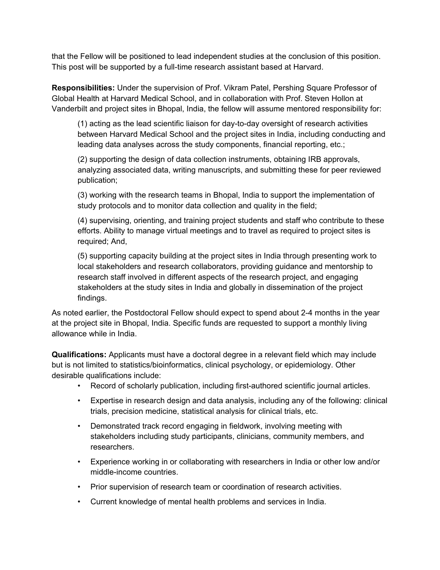that the Fellow will be positioned to lead independent studies at the conclusion of this position. This post will be supported by a full-time research assistant based at Harvard.

**Responsibilities:** Under the supervision of Prof. Vikram Patel, Pershing Square Professor of Global Health at Harvard Medical School, and in collaboration with Prof. Steven Hollon at Vanderbilt and project sites in Bhopal, India, the fellow will assume mentored responsibility for:

(1) acting as the lead scientific liaison for day-to-day oversight of research activities between Harvard Medical School and the project sites in India, including conducting and leading data analyses across the study components, financial reporting, etc.;

(2) supporting the design of data collection instruments, obtaining IRB approvals, analyzing associated data, writing manuscripts, and submitting these for peer reviewed publication;

(3) working with the research teams in Bhopal, India to support the implementation of study protocols and to monitor data collection and quality in the field;

(4) supervising, orienting, and training project students and staff who contribute to these efforts. Ability to manage virtual meetings and to travel as required to project sites is required; And,

(5) supporting capacity building at the project sites in India through presenting work to local stakeholders and research collaborators, providing guidance and mentorship to research staff involved in different aspects of the research project, and engaging stakeholders at the study sites in India and globally in dissemination of the project findings.

As noted earlier, the Postdoctoral Fellow should expect to spend about 2-4 months in the year at the project site in Bhopal, India. Specific funds are requested to support a monthly living allowance while in India.

**Qualifications:** Applicants must have a doctoral degree in a relevant field which may include but is not limited to statistics/bioinformatics, clinical psychology, or epidemiology. Other desirable qualifications include:

- Record of scholarly publication, including first-authored scientific journal articles.
- Expertise in research design and data analysis, including any of the following: clinical trials, precision medicine, statistical analysis for clinical trials, etc.
- Demonstrated track record engaging in fieldwork, involving meeting with stakeholders including study participants, clinicians, community members, and researchers.
- Experience working in or collaborating with researchers in India or other low and/or middle-income countries.
- Prior supervision of research team or coordination of research activities.
- Current knowledge of mental health problems and services in India.